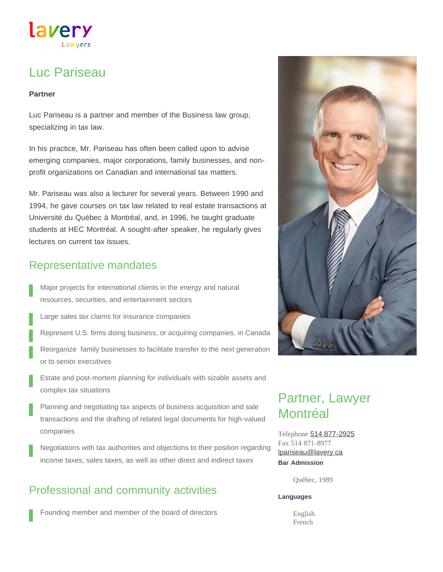# lavery

# Luc Pariseau

#### **Partner**

Luc Pariseau is a partner and member of the Business law group, specializing in tax law.

In his practice, Mr. Pariseau has often been called upon to advise emerging companies, major corporations, family businesses, and nonprofit organizations on Canadian and international tax matters.

Mr. Pariseau was also a lecturer for several years. Between 1990 and 1994, he gave courses on tax law related to real estate transactions at Université du Québec à Montréal, and, in 1996, he taught graduate students at HEC Montréal. A sought-after speaker, he regularly gives lectures on current tax issues.

### Representative mandates

- Major projects for international clients in the energy and natural resources, securities, and entertainment sectors
- Large sales tax claims for insurance companies
- Represent U.S. firms doing business, or acquiring companies, in Canada
- Reorganize family businesses to facilitate transfer to the next generation or to senior executives
- Estate and post-mortem planning for individuals with sizable assets and complex tax situations
- Planning and negotiating tax aspects of business acquisition and sale transactions and the drafting of related legal documents for high-valued companies
- Negotiations with tax authorities and objections to their position regarding income taxes, sales taxes, as well as other direct and indirect taxes

## Professional and community activities

Founding member and member of the board of directors



# Partner, Lawyer Montréal

Telephone [514 877-2925](tel:514-877-2925) Fax 514 871-8977 **Bar Admission** [lpariseau@lavery.ca](mailto:lpariseau@lavery.ca)

Québec, 1989

#### **Languages**

English French